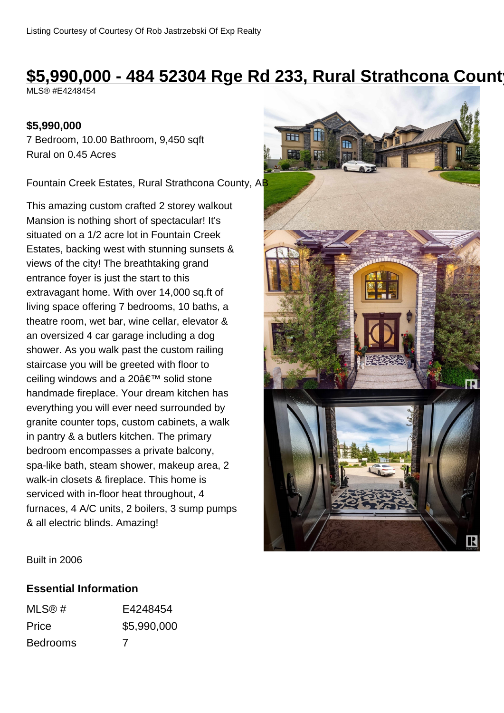# **\$5,990,000 - 484 52304 Rge Rd 233, Rural Strathcona County**

MLS® #E4248454

### **\$5,990,000**

7 Bedroom, 10.00 Bathroom, 9,450 sqft Rural on 0.45 Acres

Fountain Creek Estates, Rural Strathcona County, AB

This amazing custom crafted 2 storey walkout Mansion is nothing short of spectacular! It's situated on a 1/2 acre lot in Fountain Creek Estates, backing west with stunning sunsets & views of the city! The breathtaking grand entrance foyer is just the start to this extravagant home. With over 14,000 sq.ft of living space offering 7 bedrooms, 10 baths, a theatre room, wet bar, wine cellar, elevator & an oversized 4 car garage including a dog shower. As you walk past the custom railing staircase you will be greeted with floor to ceiling windows and a 20' solid stone handmade fireplace. Your dream kitchen has everything you will ever need surrounded by granite counter tops, custom cabinets, a walk in pantry & a butlers kitchen. The primary bedroom encompasses a private balcony, spa-like bath, steam shower, makeup area, 2 walk-in closets & fireplace. This home is serviced with in-floor heat throughout, 4 furnaces, 4 A/C units, 2 boilers, 3 sump pumps & all electric blinds. Amazing!



Built in 2006

### **Essential Information**

| MLS@#           | E4248454    |
|-----------------|-------------|
| Price           | \$5,990,000 |
| <b>Bedrooms</b> | 7           |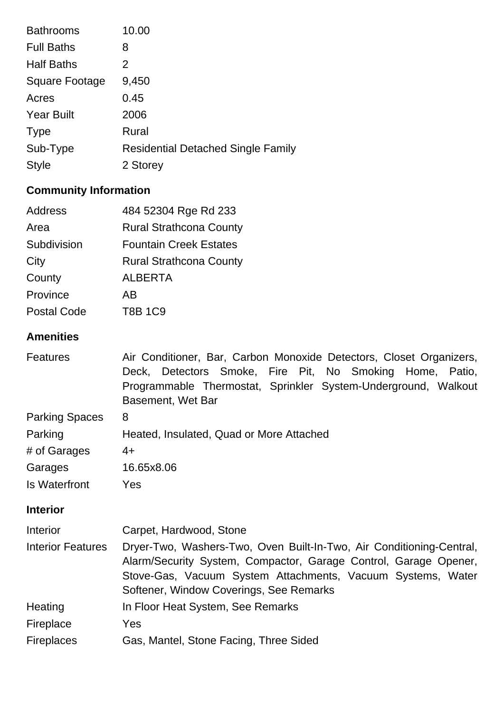| <b>Bathrooms</b>      | 10.00                                     |
|-----------------------|-------------------------------------------|
| <b>Full Baths</b>     | 8                                         |
| <b>Half Baths</b>     | 2                                         |
| <b>Square Footage</b> | 9,450                                     |
| Acres                 | 0.45                                      |
| <b>Year Built</b>     | 2006                                      |
| <b>Type</b>           | Rural                                     |
| Sub-Type              | <b>Residential Detached Single Family</b> |
| <b>Style</b>          | 2 Storey                                  |

## **Community Information**

| Address            | 484 52304 Rge Rd 233           |
|--------------------|--------------------------------|
| Area               | <b>Rural Strathcona County</b> |
| Subdivision        | <b>Fountain Creek Estates</b>  |
| City               | <b>Rural Strathcona County</b> |
| County             | <b>ALBERTA</b>                 |
| Province           | AB                             |
| <b>Postal Code</b> | <b>T8B 1C9</b>                 |

### **Amenities**

| <b>Features</b>          | Air Conditioner, Bar, Carbon Monoxide Detectors, Closet Organizers,<br>Detectors Smoke, Fire Pit, No Smoking Home, Patio,<br>Deck,<br>Programmable Thermostat, Sprinkler System-Underground, Walkout<br>Basement, Wet Bar                          |
|--------------------------|----------------------------------------------------------------------------------------------------------------------------------------------------------------------------------------------------------------------------------------------------|
| <b>Parking Spaces</b>    | 8                                                                                                                                                                                                                                                  |
| Parking                  | Heated, Insulated, Quad or More Attached                                                                                                                                                                                                           |
| # of Garages             | $4+$                                                                                                                                                                                                                                               |
| Garages                  | 16.65x8.06                                                                                                                                                                                                                                         |
| <b>Is Waterfront</b>     | Yes                                                                                                                                                                                                                                                |
| <b>Interior</b>          |                                                                                                                                                                                                                                                    |
| <b>Interior</b>          | Carpet, Hardwood, Stone                                                                                                                                                                                                                            |
| <b>Interior Features</b> | Dryer-Two, Washers-Two, Oven Built-In-Two, Air Conditioning-Central,<br>Alarm/Security System, Compactor, Garage Control, Garage Opener,<br>Stove-Gas, Vacuum System Attachments, Vacuum Systems, Water<br>Softener, Window Coverings, See Remarks |
| Heating                  | In Floor Heat System, See Remarks                                                                                                                                                                                                                  |
| Fireplace                | Yes                                                                                                                                                                                                                                                |
| <b>Fireplaces</b>        | Gas, Mantel, Stone Facing, Three Sided                                                                                                                                                                                                             |